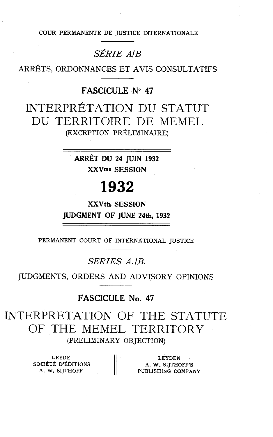COUR PERMANENTE DE JUSTICE INTERNATIONALE

## *SÉRIE AIB*

ARRÊTS, ORDONNANCES ET AVIS CONSULTATIFS

## FASCICULE **No 47**

INTERPRÉTATION DU STATUT DU TERRITOIRE DE MEMEL (EXCEPTION PRÉLIMINAIRE)

> **ARRÊT** DU 24 JUIN 1932 **XXVme** SESSION

# 1932

**XXVth** SESSION JUDGMENT OF JUNE 24th, 1932

PERMANENT COURT OF INTERNATIONAL JUSTICE

*SERIES A.IB.* 

JUDGMENTS, ORDERS AND ADVISORY OPINIONS

## FASCICULE No. **47**

INTERPRETATION OF THE STATUTE OF THE MEMEL TERRITORY (PRELIMINARY OBJECTION)

**SOCIÉTÉ D'ÉDITIONS A. W. SIJTHOFF'S A. W. SIJTHOFF'S** 

LEYDE | LEYDEN PUBLISHING COMPANY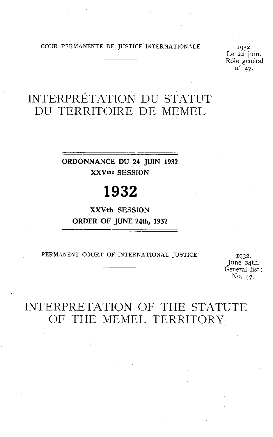COUR PERMANENTE DE JUSTICE INTERNATIONALE 1932.

- Ide 24 juin. Rôle général **no** 47.

# INTERPRÉTATION DU STATUT DU TERRITOIRE DE MEMEL

**ORDONNANCE DU 24 JUIN 1932 XXVme SESSION** 

# 1932

**XXVth SESSION ORDER OF JUNE 24th, 1932** 

PERMANENT COURT OF INTERNATIONAL JUSTICE

1932. June 24th. General list : No. 47.

# INTERPRETATION OF THE STATUTE OF THE MEMEL TERRITORY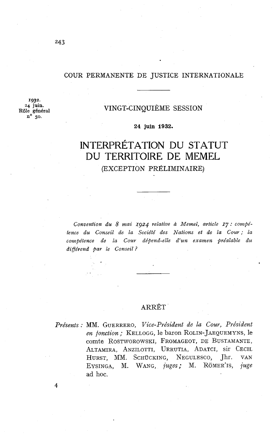#### COUR PERMANENTE DE JUSTICE INTERNATIONALE

*193:.*  **24** juin. **Rôle** général no **50.** 

### VINGT-CINQUIÈME SESSION

#### **24 juin 1932.**

## INTERPRÉTATION DU STATUT DU TERRITOIRE DE MEMEL (EXCEPTION PRÉLIMINAIRE)

*Convention du 8 mai* **Ig24** *relative* à *Memel, article 17* : *cowpétence du Conseil de la Société des Nations et de la Cour; la cowpétence de la Cour dépend-elle d'un examen préalable du digérend par le Conseil* ?

### ARRÊT

Présents : MM. GUERRERO, Vice-Président de la Cour, Président en fonction; KELLOGG, le baron ROLIN-JAEQUEMYNS, le comte ROSTWOROWSKI, FROMAGEOT, DE BUSTAMANTE, ALTAMIRA, ANZILOTTI, URRUTIA, ADATCI, sir CECIL HURST, MM. SCHÜCKING, NEGULESCO, Jhr. VAN EYSINGA, M. WANG, juges; M. RÖMER'IS, juge ad hoc.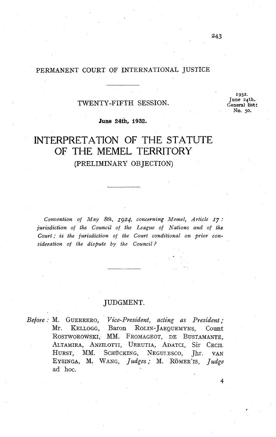### PERMANENT COURT OF INTERNATIONAL JUSTICE

### TWENTY -FIFTH SESSION.

**1932.**  June **24th. General list** : **NO. 50.** 

**June 24th, 1932.** 

# INTERPRETATION OF THE STATUTE OF THE MEMEL TERRITORY (PRELIMINARY OBJECTION)

*Convention of May 8th, 1924, concerning Memel, Article 17* : *jurisdiction of the Council of the League of Nations and of the Court* ; *is the jurisdiction of the Cowt conditional on prior consideration of the dispute by the Council?* 

### JUDGMENT.

*Befoye:* M. GUERRERO, *Vice-President, acting as President;*  Mr. KELLOGG, Baron ROLIN- JAEQUEMYNS, Count ROSTWOROWSKI, MM. FROMAGEOT, DE BUSTAMANTE, ALTAMIRA, ANZILOTTI, URRUTIA, ADATCI, Sir CECIL HURST, MM. SCHÜCKING, NEGULESCO, Jhr. VAN EYSINGA, M. WANG, *Judges;* M. ROMER'IS, *Judge*  ad hoc.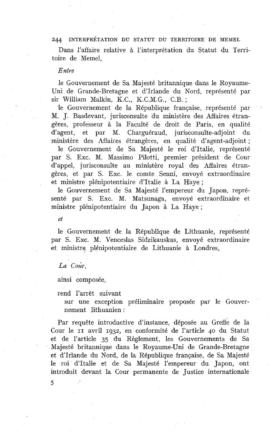Dans l'affaire relative à l'interprétation du Statut du Territoire de Memel,

#### *Entre*

le Gouvernement de Sa Majesté britannique dans le Royaume-Uni de Grande-Bretagne et d'Irlande du Nord, représenté par sir William Malkin, K.C., K.C.M.G., C.B. ;

le Gouvernement de la République française, représenté par M. J. Basdevant, jurisconsulte du ministère des Affaires étrangères, professeur à la Faculté de droit de Paris, en qualité d'agent, et par M. Charguéraud, jurisconsulte-adjoint du ministère des Affaiïes étrangères, en qualité d'agent-adjoint ;

le Gouvernement de Sa Majesté le roi d'Italie, représenté par S. Exc. M. Massimo Pilotti, premier président de Cour d'appel, jurisconsulte au ministère royal des Affaires étrangères, et par S. Exc. le comte Senni, envoyé extraordinaire et ministre plénipotentiaire d'Italie à La Haye ;

le Gouvernement de Sa Majesté l'empereur du Japon, représenté par S. Exc. M. Matsunaga, envoyé extraordinaire et ministre plénipotentiaire du Japon à La Haye ;

 $et$ 

le Gouvernement de la République de Lithuanie, représenté par S. Exc. M. Venceslas Sidzikauskas, envoyé extraordinaire et ministre plénipotentiaire de Lithuanie à Londres,

La Cour.

ainsi composée,

rend l'arrêt suivant

sur une exception préliminaire proposée par le Gouvernement lithuanien :

Par requête introductive d'instance, déposée au Greffe de la Cour le **II** avril **1932,** en conformité de l'article 40 du Statut et de l'article **35** du Règlement, les Gouvernements de Sa Majesté britannique dans le Royaume-Uni de Grande-Bretagne et d'Irlande du Nord, de la République française, de Sa Majesté le roi d'Italie et de Sa Majesté l'empereur du Japon, ont introduit devant la Cour permanente de Justice internationale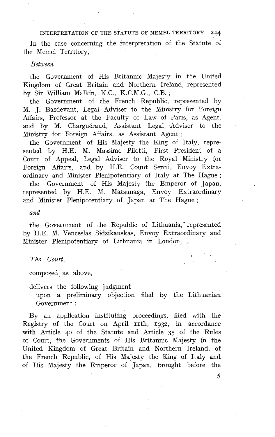In the case concerning the interpretation of the Statute of the Memel Territory,

#### **Retween**

the Government of His Britannic Majesty in the United Kingdom of Great Britain and Northern Ireland, represented by Sir William Malkin, K.C., K.C.M.G., C.B. ;

the Government of the French Republic, represented by M. J. Basdevant, Legal Adviser to the Ministry for Foreign Affairs, Professor at the Faculty of Law of Paris, as Agent, and by M. Charguéraud, Assistant Legal Adviser to the Ministry for Foreign Affairs, as Assistant Agent ;

the Government of His Majesty the King of Italy, represented by H.E. M. Massimo Pilotti, First President of a Court of Appeal, Legal Adviser to the Royal Ministry for Foreign Affairs, and by H.E. Count Senni, Envoy Extraordinary and Minister Plenipotentiary of Italy at The Hague ; the Government of His Majesty the Emperor of Japan, represented by H.E. M. Matsunaga, Envoy Extraordinary and Minister Plenipotentiary 01 Japan at The Hague ;

#### and

the Government of the Republic of Lithuania,' represented by H.E. M. Venceslas Sidzikauskas, Envoy Extraordinary and Minister Plenipotentiary of Lithuania in London,

#### *The Court,*

composed as above,

delivers the following judgment

upon a preliminary objection filed by the Lithuanian Government :

By an application instituting proceedings, filed with the Registry of the Court on April 11th, 1932, in accordance with Article **40** of the Statute and Article *35* of the Rules of Court, the Governments of His Britannic Majesty in the United Kingdom of Great Britain and Northern Ireland, of the French Republic, of His Majesty the King of Italy and of His Majesty the Emperor of Japan, brought before the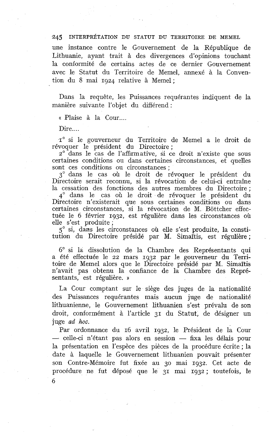une instance contre le Gouvernement de la République de Lithuanie, ayant trait à des divergences d'opinions touchant la conformité de certains actes de ce dernier Gouvernement avec le Statut du Territoire de Memel, annexé à la Convention du 8 mai 1924 relative à Memel ;

Dans la requête, les Puissances requérantes indiquent de la manière suivante l'objet du différend :

« Plaise à la Cour....

Dire....

 $I^{\circ}$  si le gouverneur du Territoire de Memel a le droit de révoquer le président du Directoire ;

 $2^{\circ}$  dans le cas de l'affirmative, si ce droit n'existe que sous certaines conditions ou dans certaines circonstances, et quelles sont ces conditions ou circonstances ;

3" dans le cas où le droit de révoquer le président du Directoire serait reconnu, si la révocation de celui-ci entraîne la cessation des fonctions des autres membres du Directoire ; 4' dans le cas où le droit de révoquer le président du Directoire n'existerait que sous certaines conditions ou dans certaines circonstances, si la révocation de M. Bottcher effectuée le 6 février 1932, est régulière dans les circonstances où elle s'est produite ;

**5"** si, dans les circonstances où elle s'est produite, la constitution du Directoire présidé par M. Simaïtis, est régulière ;

6" si la dissolution de la Chambre des Représentants qui a été effectuée le 22 mars 1932 par le gouverneur du Territoire de Memel alors que le Directoire présidé par M. Simaïtis n'avait pas obtenu la confiance de la Chambre des Représentants, est régulière. **<sup>u</sup>**

La Cour comptant sur le siège des juges de la nationalité des Puissances requérantes mais aucun juge de nationalité lithuanienne, le Gouvernement lithuanien s'est prévalu de son droit, conformément à l'article 31 du Statut, de désigner un juge ad hoc.

Par ordonnance du 16 avril 1932, le Président de la Cour juge *ad hoc.*<br>Par ordonnance du 16 avril 1932, le Président de la Cour<br>— celle-ci n'étant pas alors en session — fixa les délais pour — celle-ci n'étant pas alors en session — fixa les délais pour la présentation en l'espèce des pièces de la procédure écrite ; la date à laquelle le Gouvernement lithuanien pouvait présenter son Contre-Mémoire fut fixée au 30 mai 1932. Cet acte de procédure ne fut déposé que le 31 mai 1932 ; toutefois, le **6**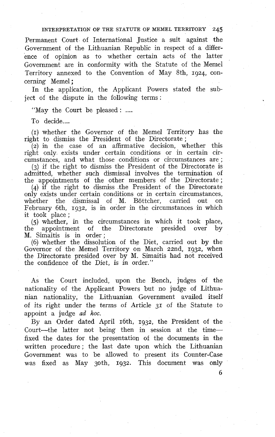Permanent Court of International Justice a suit against the Government of the Lithuanian Republic in respect of a difference of opinion as to whether certain acts of the latter Government are in conformity with the Statute of the Memel Territory annexed to the Convention of May 8th, 1924, concerning Memel ;

In the application, the Applicant Powers stated the subject of the dispute in the following terms :

"May the Court be pleased : ....

To decide....

**(1)** whether the Governor of the Memel Territory has the right to dismiss the President of the Directorate ;

 $(2)$  in the case of an affirmative decision, whether this right only exists under certain conditions or in certain circumstances, and what those conditions or circumstances are ;

(3) if the right to dismiss the President of the Directorate is admitted, whether such dismissal involves the termination of admitted, whether such distinssar involves the termination of the appointments of the other members of the Directorate ;

(4) if the right to dismiss .the President of the Directorate only exists under certain conditions or in certain circumstances, whether the dismissal of M. Böttcher, carried out on whether the dismissal of M. Böttcher, carried out February 6th, 1932, is in order in the circumstances in which it took place ;

(5) whether, in the circumstances in which it took place, the appointment of the Directorate presided over by M. Simaitis is in order;

(6) whether the dissolution of the Diet, carried out by the Governor of the Memel Territory on March 22nd, 1932, when the Directorate presided over by M. Simaitis had not received the confidence of the Diet, is in order."

As the Court included, upon the Bench, judges of the nationality of the Applicant Powers but no judge of Lithuanian nationality, the Lithuanian Government availed itself of its right under the terms of Article 31 of the Statute to appoint a judge ad hoc.

By an Order dated April 16th, 1932, the President of the Court-the latter not being then in session at the timefixed the dates for the presentation of the documents in the written procedure; the last date upon which the Lithuanian Government was to be allowed to present its Counter-Case was fixed as May 3oth, 1932. This document was only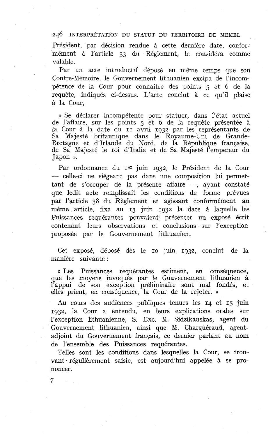Président, par décision rendue à cette dernière date, conformément à l'article 33 du Règlement, le considéra comme valable.

Par un acte introductif déposé en même temps que son Contre-Mémoire, le Gouvernement lithuanien excipa de l'incompétence de la Cour pour connaître des points *5* et 6 de la requête, indiqués ci-dessus. L'acte conclut à ce qu'il plaise à la Cour,

« Se déclarer incompétente pour statuer, dans l'état actuel de l'affaire, sur les points 5 et 6 de la requête présentée à la Cour à la date du II avril 1932 par les représentants de Sa Majesté britannique dans le Royaume-Uni de Grande-Bretagne et d'Irlande du Nord, de la République française, de Sa Majesté le roi d'Italie et de Sa Majesté l'empereur du Japon ».

Par ordonnance du rer juin 1932, le Président de la Cour -- celle-ci ne siégeant pas dans une composition lui permettant de s'occuper de la présente affaire -, ayant constaté que ledit acte remplissait les conditions de forme prévues par l'article 38 du Règlement et agissant conformément au même article, fixa au 13 juin .1g32 la date à laquelle les Puissances requérantes pouvaient; présenter un exposé écrit contenant leurs observations et conclusions sur l'exception proposée par le Gouvernement lithuanien.

Cet exposé, déposé dès le IO juin 1932, conclut de la manière suivante :

« Les Puissances requérantes estiment, en conséquence, que les moyens invoqués par le Gouvernement lithuanien à l'appui de son exception préliminaire sont mal fondés, et elles prient, en conséquence, la Cour de la rejeter. a

Au cours des audiences publiques tenues les 14 et **15** juin 1932, la Cour a entendu, en leurs explications orales sur l'exception lithuanienne, S. Exc. M. Sidzikauskas, agent du Gouvernement lithuanien, ainsi que M. Charguéraud, agentadjoint du Gouvernement français, ce dernier parlant au nom de l'ensemble des Puissances requérantes.

Telles sont les conditions dans lesquelles la Cour, se trouvant régulièrement saisie, est aujourd'hui appelée à se prononcer.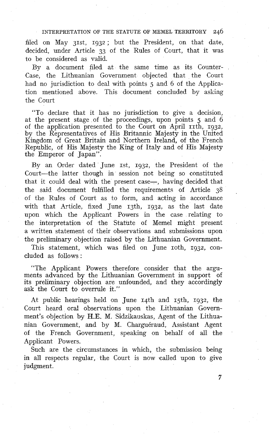filed on May 31st, 1932; but the President, on that date, decided, under Article **33** of the Rules of Court, that it was to be considered as valid.

By a document filed at the same time aç its Counter-Case, the Lithuanian Government objected that the Court had no jurisdiction to deal with points 5 and 6 of the Application mentioned above. This document concluded by asking the Court

"To declare that it has no jurisdiction to give a decision, at the present stage of the proceedings, upon points 5 and 6 of the application presented to the Court on April 11th, 1932, by the Representatives of His Britannic Majesty in the United Kingdom of Great Britain and Northern Ireland, of the French Republic, of His Majesty the King of Italy and of His Majesty the Emperor of Japan".

By an Order dated June  $rst$ ,  $rq32$ , the President of the Court-the latter though in session not being so constituted that it could deal with the present case-, having decided that the said document fulfilled the requirements of Article 3s of the Kules of Court as to form, and acting in accordance with that Article, fixed June 13th, 1932, as the last date upon which the Applicant Powers in the case relating to the interpretation of the Statute of Memel might present a written statement of their observations and submissions upon the preliminary objection raised by the Lithuanian Government.

This statement, which was filed on June roth, 1932, concluded as follows :

"The Applicant Powers therefore consider that the arguments advanced by the Lithuanian Government in support of its preliminary objection are unfounded, and they accordingly ask the Court to overrule it."

At public hearings held on June 14th and 15th, 1932, the Court heard oral observations upon the Lithuanian Government's objection by H.E. M. Sidzikauskas, Agent of the Lithuanian Government, and by M. Charguéraud, Assistant Agent of the French Government, speaking on behalf of al1 the Applicant Powers.

Such are the circumstances in which, the submission being in al1 respects regular, the Court is now çalled upon to give judgment.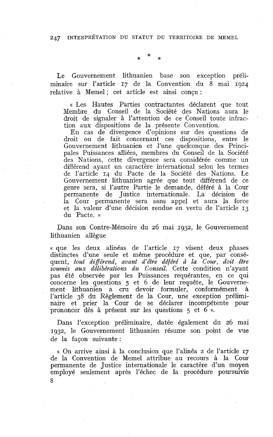Le Gouvernement lithuanien base son exception préliminaire sur l'article 17 de la Convention du 8 mai 1924 relative à Memel ; cet article est ainsi conçu :

« Les Hautes Parties contractantes déclarent que tout Membre du Conseil de la Société des Nations aura le droit de signaler à l'attention de ce Conseil toute infraction aux dispositions de la présente Convention.

En cas de divergence d'opinions sur des questions de droit ou de fait concernant ces dispositions, entre le Gouvernement lithuanien et l'une quelconque des Principales Puissances alliées, membres du Conseil de la Société des Nations, cette divergence sera considérée comme un différend ayant un caractère international selon les termes de l'article 14 du Pacte de la Société des Nations. Le Gouvernement lithuanien agrée que tout différend de ce genre sera, si l'autre Partie le demande, déféré à la Cour permanente de Justice internationale. La décision de la Cour permanente sera sans appel et aura la force et la valeur d'une décision rendue en vertu de l'article 13 du Pacte. »

Dans son Contre-Mémoire du 26 mai 1932, le Gouvernement lithuanien allègue

« que les deux alinéas de l'article 17 visent deux phases distinctes d'une seule et même procédure et que, par conséquent, *tout différend, avant d'être déféré* à *la Cour, doit être soumis aux délibérations du Conseil.* Cette condition n'ayant pas été observée par les Puissances requérantes, en ce qui concerne les questions 5 et 6 de leur requête, le Gouvernement lithuanien a cru devoir formuler, conformément à l'article 38 du Règlement de la Cour, une exception préliminaire et prier la Cour de se déclarer incompétente pour prononcer dès à présent sur les questions 5 et 6 ».

Dans l'exception préliminaire, datée également du 26 mai 1932, le Gouvernement lithuanien résume son point de vue de la façon suivante :

« On arrive ainsi à la conclusion que l'alinéa 2 de l'article 17 de la Convention de Memel attribue au recours à la Cour permanente de Justice internationale le caractère d'un moyen employé seulement après l'échec de la procédure poursuivie 8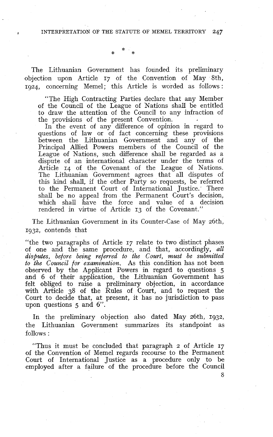The Lithuanian Government has founded its preliminary objection upon Article 17 of the Convention of May 8th, 1924, concerning Memel; this Article is worded as follows :

"The High Contracting Parties declare that any Member of the Council of the League of Nations shall be entitled to draw the attention of the Council to any infraction of the provisions of the present Convention.

In the event of any difference of opinion in regard to questions of law or of fact concerning these provisions between the Lithuanian Government and any of the Principal Allied Powers members of the Council of the League of Nations, such difference shall be regarded as a dispute of an international character under the terms of Article 14 of the Covenant of the League of Nations. The Lithuanian Government agrees that all disputes of this kind shall, if the other Party so requests, be referred to the Permanent Court of International Justice. There shall be no appeal from the Permanent Court's decision, which shall have the force and value of a decision rendered in virtue of Article 13 of the Covenant."

The Lithuanian Government in its Counter-Case of May 26th, 1932, contends that

"the two paragraphs of Article 17 relate to two distinct phases of one and the same procedure, and that, accordingly, *all disputes, before being referred to the Court, must be submitted to the Council for examination.* As this condition has not been observed by the Applicant Powers in regard to questions 5 and 6 of their application, the Lithuanian Government has felt obliged to raise a preliminary objection, in accordance with Article 38 of the Rules of Court, and to request the Court to decide that, at present, it has no jurisdiction to pass upon questions 5 and 6".

In the preliminary objection also dated May 26th, **1932,**  the Lithuanian Government summarizes its standpoint as follows :

"Thus it must be concluded that paragraph 2 of Article 17 of the Convention of Memel regards recourse to the Permanent Court of International Justice as a procedure only to be employed after a failure of the procedure before the Council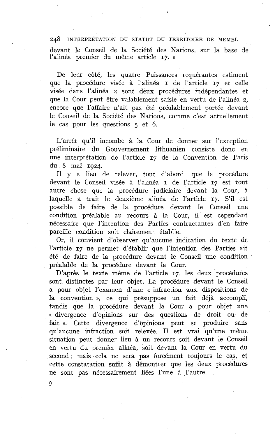devant le Conseil de la Société des Nations, sur la base de l'alinéa premier du même article 17. »

De leur côté, les quatre Puissances requérantes estiment que la procédure visée à l'alinéa I de l'article 17 et celle visée dans l'alinéa 2 sont deux procédures indépendantes et que la Cour peut être valablement saisie en vertu de l'alinéa *2,*  encore que l'affaire n'ait pas été préalablement portée devant le Conseil de la Société des Nations, comme c'est actuellement le cas pour les questions 5 et 6.

L'arrêt qu'il incombe à la Cour de donner sur l'exception préliminaire du Gouvernement lithuanien consiste donc en une interprétation de l'article 17 de la Convention de Paris du 8 mai 1924.

Il y a lieu de relever, tout d'abord, que la procédure devant le Conseil visée à l'alinéa r de l'article 17 est tout autre chose que la procédure judiciaire devant la Cour, à laquelle a trait le deuxième alinéa de l'article 17. S'il est possible de faire de la procédure devant le Conseil une condition préalable au recours à la Cour, il est cependant nécessaire que l'intention des Parties contractantes d'en faire pareille condition soit clairement établie.

Or, il convient d'observer qu'aucune indication du texte de l'article 17 ne permet d'établir que l'intention des Parties ait été de faire de la procédure devant le Conseil une condition préalable de la procédure devant la Cour.

D'après le texte même de l'article 17, les deux procédures sont distinctes par leur objet. La procédure devant le Conseil a pour objet l'examen d'une « infraction aux dispositions de la convention », ce qui présuppose un fait déjà accompli, tandis que la procédure devant la Cour a pour objet une « divergence d'opinions sur des questions de droit ou de fait 1). Cette divergence d'opinions peut se produire sans qu'aucune infraction soit relevée. Il est vrai qu'une même situation peut donner lieu à un recours soit devant le Conseil en vertu du premier alinéa, soit devant la Cour en vertu du second ; mais cela ne sera pas forcément toujours le cas, et cette constatation suffit à démontrer que les deux procédures ne sont pas nécessairement liées l'une à l'autre.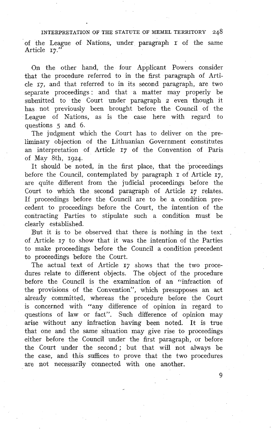INTERPRETATION OF THE STATUTE OF MEMEL TERRITORY 248 of the League of Nations, under paragraph I of the same Article **17."** 

On the other hand, the four Applicant Powers consider that the procedure referred to in the first paragraph of Article **17,** and that referred to in its second paragraph, are two separate proceedings; and that a matter may properly be submitted to the Court under paragraph 2 even though it has not previously been brought before the Council of the League of Nations, as is the case here with regard to questions *5* and 6.

The judgment which the Court has to deliver on the preliminary objection of the Lithuanian Government constitutes an interpretation of Article **17** of the Convention of Paris of May 8th, **1924** 

It should be noted. in the first place, that the proceedings before the Council, contemplsted by paragraph **I** of Article **17,**  are quite different from the judicial proceedings before the Court to which the second paragraph of Article **17** relates. If proceedingç before the Council are to be a condition precedent to proceedings before the Court, the intention of the contracting Parties to stipulate such a condition must be clearly established.

But it is to be observed that there is nothing in the text of Article **17** to show that it was the intention of the Parties to make proceedings before the Council a condition precedent to proceedings before the Court.

The actual text of Article **17** shows that the two procedures relate to different objects. The object of the procedure before the Council is the examination of an "infraction of the provisions of the Convention", which presupposes an act already committed, whereas the procedure beiore the Court is concerned with "any difference of opinion in regard to questions of law or fact". Such difference of opinion may arise without any infraction having been noted. It is true that one and the same situation may give rise to proceedings either before the Council under the first paragraph, or before the Court under the second; but that will not always be the case, and this suffices to prove that the two procedures are not necessarily connected with one another.

<sub>Q</sub>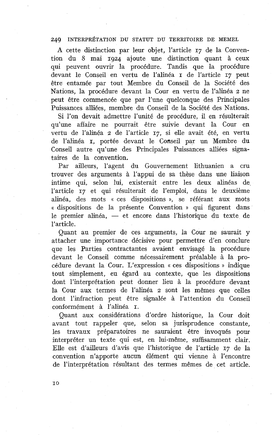A cette distinction par leur objet, l'article 17 de la Convention du 8 mai **1924** ajoute une distinction quant à ceux qui peuvent ouvrir la procédure. Tandis que la procédure devant le Conseil en vertu de l'alinéa I de l'article 17 peut être entamée par tout Membre du Conseil de la Société des Nations, la procédure devant la Cour en vertu de l'alinéa **2** ne peut être commencée que par l'une quelconque des Principales Puissances alliées, membre du Conseil de la Société des Nations.

Si l'on devait admettre l'unité de procédure, il en résulterait qu'une affaire ne pourrait être suivie devant la Cour en vertu de l'alinéa **2** de l'article 17, si elle avait été, en vertu de l'alinéa **r,** portée devant le Conseil par un Membre du Conseil autre qu'une des Principales Puissances alliées signataires de la convention.

Par ailleurs, l'agent du Gouvernement lithuanien a cru trouver des arguments à l'appui de sa thèse dans une liaison intime qui, selon lui, existerait entre les deux alinéas de l'article 17 et qui résulterait de l'emploi, dans le deuxième alinéa, des mots « ces dispositions », se référant aux mots « dispositions de la présente Convention » qui figurent dans almea, des mots « ces dispositions », se referant aux mots<br>« dispositions de la présente Convention » qui figurent dans<br>le premier alinéa, — et encore dans l'historique du texte de l'article.

Quant au premier de ces arguments, la Cour ne saurait y attacher une importance décisive pour permettre d'en conclure que les Parties contractantes avaient envisagé la procédure devant le Conseil comme nécessairement préalable à la procédure devant la Cour. L'expression « ces dispositions » indique tout simplement, eu égard au contexte, que les dispositions dont l'interprétation peut donner lieu à la procédure devant la Cour aux termes de l'alinéa 2 sont les mêmes que celles dont l'infraction peut être signalée à l'attention du Conseil conformément à l'alinéa **1.** 

Quant aux considérations d'ordre historique, la Cour doit avant tout rappeler que, selon sa jurisprudence constante, les travaux préparatoires ne sauraient être invoqués pour interpréter un texte qui est, en lui-même, suffisamment clair. Elle est d'ailleurs d'avis que l'historique de l'article 17 de la convention n'apporte aucun élément qui vienne à l'encontre de l'interprétation résultant des termes mêmes de cet article.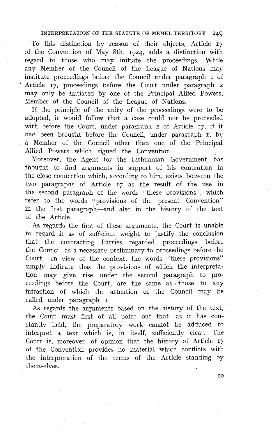To this distinction by reason of their objects, Article **17**  of the Convention of May 8th, 1924, adds a distinction with regard to those who may initiate the proceedings. While any Member of the Council of the League of Nations may institute proceedings before the Council under paragraph **I** of Article 17, proceedings before the Court under paragraph 2 may only be initiated by one of the Principal Allied Powers, Member of the Council of the League of Nations.

If the principle of the unity of the proceedings were to be adopted, it wouid follow that a case could not be proceeded with before the Court, under paragraph 2 of Article 17, if it had been brought before the Council, under paragraph **1,** by *s* Member of the Council other than one of the Principal Allied Powers which signed the Convention.

Moreover, the Agent for the Lithuanian Government has thought to find arguments in support of his contention in the close connection which, according to him, exists between the two paragraphs of Article 17 as the result of the use in the second paragraph of the words "these provisions", which refer to the words "provisions of the present Convention" in the first paragraph-and also in the hisiory of the text of the Article.

As regards the first of these arguments, the Court is unable to regard it as of sufficient weight to justify the conclusion that the contracting Parties regarded proceedings before the Council as a necessary preliminary to proceedings before the Court. In view of the context, the words "these provisions" simply indicate that the provisions of which the interpretation may give rise under the second paragraph to proceedings before the Court, are the same as  $*$  those to any infraction of which the attention of the Council may be called under paragraph I.

As regards the arguments based on the history of the text, the Court must first of al1 point out that, as it has constantly held, the preparatory work cannot be adduced to interpret a text which is, in itself, sufficiently clear. The Court is, moreover, of opinion that the history of Article 17 of the Convention provides no material which conflicts with the interpretation of the terms of the Article standing by themselves.

IO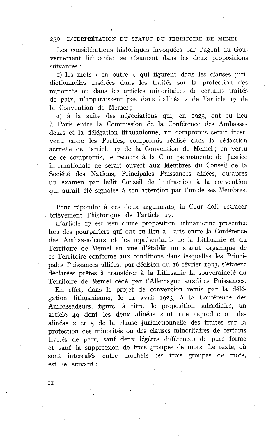Les considérations historiques invoquées par l'agent du Gouvernement lithuanien se résument dans les deux propositions suivantes :

1) les mots « en outre », qui figurent dans les clauses juridictionnelles insérées dans les traités sur la protection des minorités ou dans les articles minoritaires de certains traités de paix, n'apparaissent 'pas dans l'alinéa 2 de l'article 17 de la Convention de Memel;

2) à la suite des négociations qui, en 1923, ont eu lieu à Paris entre la Commission de la Conférence des Ambassadeurs et la délégation lithuanienne, un compromis serait intervenu entre les Parties, compromis réalisé dans la rédaction actuelle de l'article 17 de la Convention de Memel ; en vertu de ce compromis, le recours à la Cour permanente de Justice internationale ne serait ouvert aux Membres du Conseil de la Société des Nations, Principales Puissances alliées, qu'après un examen par ledit Conseil de l'infraction à la convention qui aurait été, signalée à son attention par l'un de ses Membres.

Pour répondre à ces deux arguments, la Cour doit retracer brièvement l'historique de l'article 17.

L'article 17 est issu d'une proposition lithuanienne présentée lors des pourparlers qui ont eu lieu à Paris entre la Conférence des Ambassadeurs et les représentants de la Lithuanie et du Territoire de Memel en vue d'établir un statut organique de ce Territoire conforme aux conditions dans lesquelles les Principales Puissances alliées, par décision du 16 février 1923, s'étaient déclarées prêtes à transférer à la Lithuanie la souveraineté du Territoire de Memel cédé par l'Allemagne auxdites Puissances.

En effet, dans le projet de convention remis par la délégation lithuanienne, le II avril 1923, à la Conférence des Ambassadeurs, figure, à titre de proposition subsidiaire, un article 49 dont les deux alinéas sont une reproduction des alinéas 2 et **3** de la clause juridictionnelle des traités sur la protection des minorités ou des clauses minoritaires de certains traités de paix, sauf deux légères différences de pure forme et sauf la suppression de trois groupes de mots. Le texte, où sont intercalés entre crochets ces trois groupes de mots, est le suivant :

II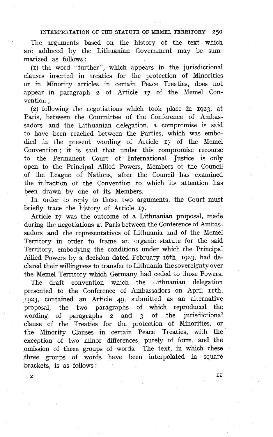The arguments based on the history of the text which are adduced by the Lithuanian Government may be summarized as follows :

 $(1)$  the word "further", which appears in the jurisdictional clauses inserted in treaties for the protection of Minorities or in Minority articles in certain Peace Treaties, does not appear in paragraph z of Article 17 of the Memel Convention ;

(2) following the negotiations which took place in 1923, at Paris, between the Committee of the Conference of Ambassadors and the Lithuanian delegation, a compromise is said to have been reached between the Parties, which was embodied in the present wording of Article 17 of the Memel Convention ; it is said that under this compromise recourse to the Permanent Court of International Justice is only open to the Principal Allied Powers, Members of the Council of the League of Nations, after the Council has examined the infraction of the Convention to which its attention has been drawn by one of its Members.

In order to reply to these two arguments, the Court must briefly trace the history of Article 17.

Article 17 was the outcome of a Lithuanian proposal, made during the negotiations at Paris between the Conference of Ambassadors and the representatives of Lithuania and of the Memel Territory in order to frame an organic statute for the said Territory, embodying the conditions under which the Principal Allied Powers by a decision dated February 16th, 1923, had declared their willingness to transfer to Lithuania the sovereignty over the Memel Territory which Germany had ceded to those Powers.

The draft convention which the Lithuanian delegation presented to the Conference of Ambassadors on April th, 1923, contained an Article 49, submitted as an alternative proposal, the two paragraphs of which reproduced the wording of paragraphs  $\frac{1}{2}$  and  $\frac{1}{3}$  of the jurisdictional wording of paragraphs 2 and 3 clause of the Treaties for the protection of Minorities, or the Minority Clauses in certain Peace Treaties, with the exception of two minor differences, purely of form, and the omission of three groups of words. The text, in which these three groups of words have been interpolated in square brackets, is as follows :

**2 II**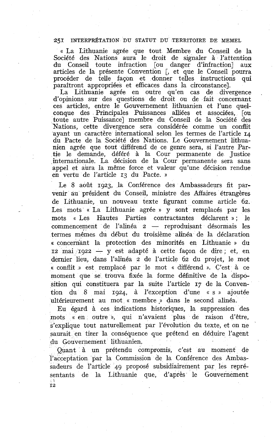« La Lithuanie agrée que tout Membre du Conseil de la Société des Nations aura le droit de signaler à l'attention du Conseil toute infraction [ou danger d'infraction] aux articles de la présente Convention [, et que le Conseil pourra procéder de telle façon et donner telles instructions qui paraîtront appropriées et efficaces dans la circonstance].

La Lithuanie agrée en outre qu'en cas de divergence d'opinions sur des questions de droit ou de fait concernant ces articles, entre le Gouvernement lithuanien et l'une quelconque des Principales Puissances alliées et associées, [ou toute autre Puissance] membre du Conseil de la Société des Nations, cette divergence sera considérée comme un conflit ayant un caractère international selon les termes de l'article 14 du Pacte de la Société des Nations. Le Gouvernement lithuanien agrée que tout différend de ce genre sera, si l'autre Partie le demande, déféré à la Cour permanente de Justice internationale. La décision de la Cour permanente sera sans appel et aura la même force et valeur qu'une décision rendue en vertu de l'article *13* du Pacte. ))

Le 8 août 1923, la Conférence des Ambassadeurs fit parvenir au président du Conseil, ministre des Affaires étrangères de Lithuanie, un nouveau texte figurant comme article 62. Les mots « La Lithuanie agrée » y sont remplacés par les mots « Les Hautes Parties contractantes déclarent »; le commencement de l'alinéa 2 — reproduisant désormais les termes mêmes du début du troisième alinéa de la déclaration « concernant la protection des minorités en Lithuanie » du termes mêmes du début du troisième alméa de la déclaration<br>« concernant la protection des minorités en Lithuanie » du<br>12 mai 1922 — y est adapté à cette façon de dire ; et, en dernier lieu, dans l'alinéa 2 de l'article 62 du projet, le mot « conflit )) est remplacé par le mot « différend ». C'est à ce moment que se trouva fixée la forme définitive de la disposition qui constituera par la suite l'article 17 de la Convention du 8 mai 1924, à l'exception d'une « s )) ajoutée ultérieurement au mot « membre » dans le second alinéa.

Eu égard à ces indications historiques, la suppression des mots « en outre », qui n'avaient plus de raison d'être, s'explique tout naturellement par l'évolution du texte, et on ne saurait en tirer la conséquence que prétend en déduire l'agent du Gouvernement lithuanien.

Quant à un prétendu compromis, c'est au moment de l'acceptation par la Commission de la Conférence des Ambassadeurs de l'article 49 proposé subsidiairement par les représentants de la Lithuanie que, d'après le Gouvernement  $\frac{1}{12}$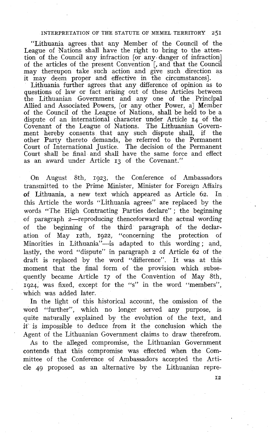"Lithuania agrees that any Member of the Council of the League of Nations shall have the right to bring to the attention of the Council any infraction [or any danger of infraction] of the articles of the present Convention [, and that the Council may thereupon take such action and give such direction as it may deem proper and effective in the circumstances].

Lithuania further agrees that any difference of opinion as to questions of law or fact arising out of these Articles between the Lithuanian Government and any one of the Principal Allied and Associated Powers, [or any other Power, a] Member of the Council of the League of Nations, shall be held to be a dispute of an international character under Article 14 of the Covenant of the League of Nations. The Lithuanian Government hereby consents that any such dispute shall, if the other Party thereto demands, be referred to the Permanent Court of International Justice. The decision of the Permanent Court shau be final and shall have the same force and effect as an award under Article 13 of the Covenant."

On August 8th, 1923, the Conference of Ambassadors transmitted to the Prime Minister, Minister for Foreign Affairs of Lithuania, a new text which appeared as Article 62. In this Article the words "Lithuania agrees" are replaced by the words "The High Contracting Parties declare" ; the beginning of paragraph 2-reproducing thenceforward the actual wording of the beginning of the third paragraph of the declaration of May 12th, 1922, "concerning the protection of Minorities in Lithuania"-is adapted to this wording; and, lastly, the word "dispute" in paragraph 2 of Article 62 of the draft is replaced by the word "difference". It was at this moment that the final form of the provision which subsequently became Article 17 of the Convéntion of May 8th, 1924, was fixed, except for the "s" in the word "members", which was added later.

In the light of this historical account, the omission of the word "further", which no ionger served any purpose, is quite naturally explained by the evolution of the text, and it is impossible to deduce from it the conclusion which the Agent of the Lithuanian Government claims to draw therefrom.

As to the alleged compromise, the Lithuanian Government contends that this compromise was effected when the Committee of the conference of Ambassadors accepted the Article 49 proposed as an alternative by the Lithuanian repre-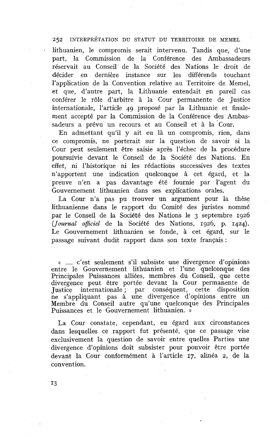lithuanien, le compromis serait intervenu. Tandis que, d'une part, la Commission de la Conférence des Ambassadeurs réservait au Conseil de la Société des Nations le droit de décider en dernière instance sur les différends touchant l'application de la Convention relative au Territoire de Memel, et que, d'autre part, la Lithuanie entendait en pareil cas conférer le rôle d'arbitre à la Cour permanente de Justice internationale, l'article **49** proposé par la Lithuanie et finalement accepté par la Commission de la Conférence des Ambassadeurs a prévu un recours et au Conseil et à la Cour.

En admettant qu'il y ait eu là un compromis, rien, dans ce compromis, ne porterait sur la question de savoir si la Cour peut seulement être saisie après l'échec de la procédure poursuivie devant le Conseil de la Société des Nations. En effet, ni l'historique ni les rédactions successives des textes n'apportent une indication quelconque à cet égard, et la preuve n'en a pas davantage été fournie par l'agent du Gouvernement lithuanien dans ses explications orales.

La Cour n'a pas pu trouver un argument pour la thèse lithuanienne dans le rapport du Comité des juristes nommé par le Conseil de la Société des Nations le **3** septembre **1926**  *(Jo~rnal oflciel* de la Société des Nations, **1926,** p. **1424).**  Le Gouvernement lithuanien se fonde, à cet égard, sur le passage suivant dudit rapport dans son texte français :

. . . . c'est seulement s'il subsiste une divergence d'opinions entre le Gouvernement lithuanien et l'une quelconque des Principales Puissances alliées, membres du Conseil, que cette divergence peut être portée devant la Cour permanente de Justice internationale ; par conséquent, cette disposition ne s'appliquant pas à une divergence d'opinions entre un Membre du Conseil autre qu'une quelconque des Principales Puissances et le Gouvernement lithuanien. »

La Cour constate, cependant, eu égard aux circonstances dans lesquelles ce rapport fut présenté, que ce passage vise exclusivement la question de savoir entre quelles Parties une divergence d'opinions doit subsister pour pouvoir être portée devant la Cour conformément à l'article 17, alinéa *2,* de la convention.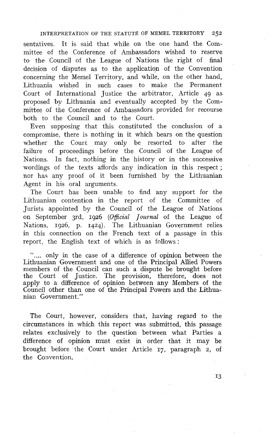sentatives. It is said that while on the one hand the Committee of the Conference of Ambassadors wished to reserve to the Council of the League of Nations the right of final decision of disputes as to the application of the Convention concerning the Memel Territory, and while, on the other hand, Lithuania wished in such cases to make the Permanent Court of International Justice the arbitrator, Article 49 as proposed by Lithuania and eventually accepted by the Committee of the Conference of Ambassadors provided for recourse both to the Council and to the Court.

Even supposing that this constituted the conclusion of a compromise, there is nothing in it which bears on the question whether the Court may only be resorted to after tne failure of proceedings before the Council of the League of Nations. In fact, nothing in the historv or in the successive wordings of the texts affords any indication in this respect ; nor has any proof of it been iurnished by the Lithuanian Agent in his oral arguments.

The Court has been unable to find any support for the Lithuanian contention in the report of the Committee of Jurists appointed by the Council of the League of Nations on September 3rd, **1926** *(Ogicial* Journal of the League of Nations, 1926, p. **1424).** The Lithuanian Government relies in this connection on the French text of a passage in this report, the English text of which is as follows :

".... only in the case of a difference of opinion between the Lithuanian Government and one of the Principal Allied Powers members of the Council can such a dispute be brought before the Court of Justice. The provision, therefore, does not apply to a difference of opinion between any Members of the Council other than one of the Principal Powers and the Lithuanian Government."

The Court, however, considers that, having regard to the circumstances in which this report was submitted, this passage relates exclusively to the question between what Parties a difference of opinion must exist in order that it may be brought before the Court under Article **17,** paragraph *2,* of the Convention.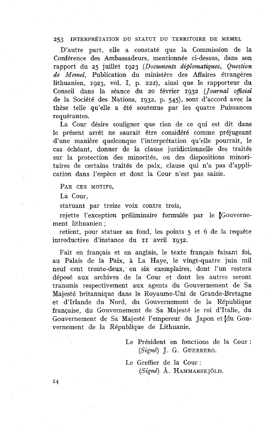D'autre part, elle a constaté que la Commission de la Conférence des Ambassadeurs, mentionnée ci-dessus, dans son rapport du 25 juillet 1923 *(Documents diplomatiques, Question de Memel,* Publication du ministère des Affaires étrangères lithuanien, 1923, vol. 1, p. 222), ainsi que le rapporteur du Conseil dans la séance du 20 février 1932 (Journal officiel de la Société des Nations, 1932, p. *545),* sont d'accord avec la thèse telle qu'elle a été soutenue par les quatre Puissances requérantes.

La Cour désire souligner que rien de ce qui est dit dans le présent arrêt ne saurait être considéré comme préjugeant d'une manière quelconque l'interprétation qu'elle pourrait, le cas échéant, donner de la clause juridictionnelle des traités sur la protection des minorités, ou des dispositions minoritaires de certains traités de paix, clause qui n'a pas d'application dans l'espèce et dont la Cour n'est pas saisie.

PAR CES MOTIFS.

La Cour,

statuant par treize voix contre trois,

rejette l'exception préliminaire formulée par le Couvernement lithuanien ;

retient, pour statuer au fond, les points *5* et 6 de la requête introductive d'instance du II avril 1932.

Fait en français et en anglais, le texte français faisant foi, au Palais de la Paix, à La Haye, le vingt-quatre juin mil neuf cent trente-deux; en six exemplaires, dont l'un restera déposé aux archives de la Cour et dont les autres seront transmis respectivement aux agents du Gouvernement de Sa Majesté britannique dans le Royaume-Uni de Grande-Bretagne et d'Irlande du Nord, du Gouvernement de la République française, du Gouvernement de Sa Majesté le roi d'Italie, du Gouvernement de Sa Majesté l'empereur du Japon et du Gouvernement de la République de Lithuanie.

> Le Président en fonctions de la Cour : *(Signé) J.* G. GUERRERO.

Le Greffier de la Cour : *(Signe?* A. HAMMARSK JOLD.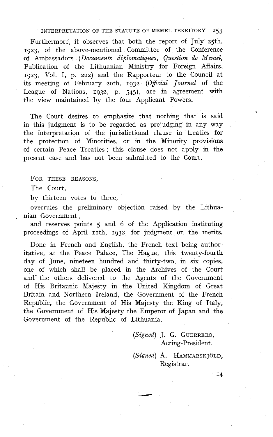Furthermore, it observes that both the report of July 25th, 1923, of the above-mentioned Committee of the Conference of Ambassadors *(Documents difilomatiques, Question de Memel,*  Publication of the Lithuanian Ministry for Foreign Affairs, 1923, Vol. 1, p. 222) and the Rapporteur to the Council at its meeting of February soth, 1932 *(Oficial Journal* of the League of Nations, 1932, p. 545), are in agreement with the view maintained by the four Applicant Powers.

The Court desires to emphasize that nothing that is said in this judgment is to be regarded as prejudging in any way the interpretation of the jurisdictional clause in treaties for the protection of Minorities, or in the Minority provisions of certain Peace Treaties ; this clause does not apply in the present case and has not been submitted to the Court.

FOR THESE REASONS,

The Court,

by thirteen votes to three,

overrules the preliminary objection raised by the Lithuanian Government :

and reserves points 5 and 6 of the Application instituting proceedings of April rrth, 1932, for judgment on the merits.

Done in French and English, the French text being authoritative, at the Peace Palace, The Hague, this twenty-fourth day of June, nineteen hundred and thirty-two, in six copies, one of which shall be placed in the Archives of the Court and<sup>\*</sup> the others delivered to the Agents of the Government of His Britannic Majesty in the United Kingdom of Great Britain and Northern Ireland, the Government of the French Republic, the Government of His Majesty the King of Italy, the Government of His Majesty the Emperor of Japan and the Government of the Republic of Lithuania.

> *(Signed) J.* G. GUERRERO, Acting-President.

*(Signed)* A. HAMMARSK JOLD, Registrar.

**14** 

\*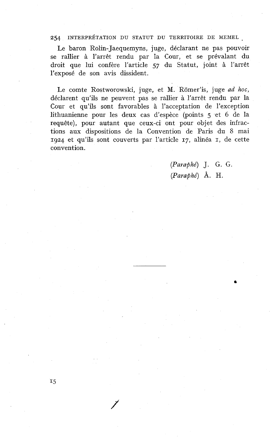Le baron Rolin-Jaequemyns, juge, déclarant ne pas pouvoir se rallier à l'arrêt rendu par la Cour, et se prévalant du droit que lui confère l'article 57 du Statut, joint à l'arrêt l'exposé de son avis dissident.

Le comte Rostworowski, juge, et M. Romer'is, juge *ad* hoc, déclarent qu'ils ne peuvent pas se rallier à l'arrêt rendu par la Cour et qu'ils sont favorables à l'acceptation de l'exception lithuanienne pour les deux cas d'espèce (points *5* et 6 de la requête), pour autant que ceux-ci ont pour objet des infractions aux dispositions de la Convention de Paris du 8 mai **1924** et qu'ils sont couverts par l'article 17, alinéa 1, de cette convention.

> (Paraphé) J. G. G.  $(Paraphé)$  Å. H.